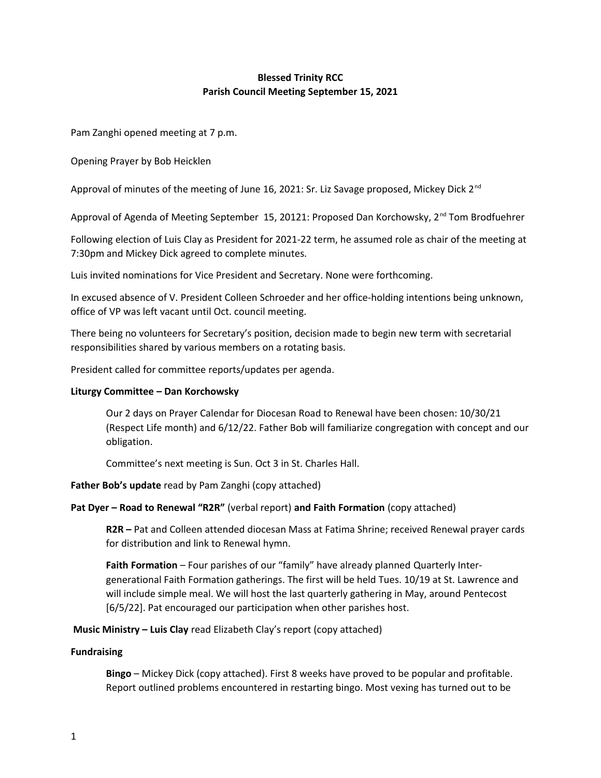# **Blessed Trinity RCC Parish Council Meeting September 15, 2021**

Pam Zanghi opened meeting at 7 p.m.

Opening Prayer by Bob Heicklen

Approval of minutes of the meeting of June 16, 2021: Sr. Liz Savage proposed, Mickey Dick 2<sup>nd</sup>

Approval of Agenda of Meeting September 15, 20121: Proposed Dan Korchowsky, 2<sup>nd</sup> Tom Brodfuehrer

Following election of Luis Clay as President for 2021-22 term, he assumed role as chair of the meeting at 7:30pm and Mickey Dick agreed to complete minutes.

Luis invited nominations for Vice President and Secretary. None were forthcoming.

In excused absence of V. President Colleen Schroeder and her office-holding intentions being unknown, office of VP was left vacant until Oct. council meeting.

There being no volunteers for Secretary's position, decision made to begin new term with secretarial responsibilities shared by various members on a rotating basis.

President called for committee reports/updates per agenda.

### **Liturgy Committee – Dan Korchowsky**

Our 2 days on Prayer Calendar for Diocesan Road to Renewal have been chosen: 10/30/21 (Respect Life month) and 6/12/22. Father Bob will familiarize congregation with concept and our obligation.

Committee's next meeting is Sun. Oct 3 in St. Charles Hall.

**Father Bob's update** read by Pam Zanghi (copy attached)

### **Pat Dyer – Road to Renewal "R2R"** (verbal report) **and Faith Formation** (copy attached)

**R2R –** Pat and Colleen attended diocesan Mass at Fatima Shrine; received Renewal prayer cards for distribution and link to Renewal hymn.

**Faith Formation** – Four parishes of our "family" have already planned Quarterly Intergenerational Faith Formation gatherings. The first will be held Tues. 10/19 at St. Lawrence and will include simple meal. We will host the last quarterly gathering in May, around Pentecost [6/5/22]. Pat encouraged our participation when other parishes host.

**Music Ministry – Luis Clay** read Elizabeth Clay's report (copy attached)

### **Fundraising**

**Bingo** – Mickey Dick (copy attached). First 8 weeks have proved to be popular and profitable. Report outlined problems encountered in restarting bingo. Most vexing has turned out to be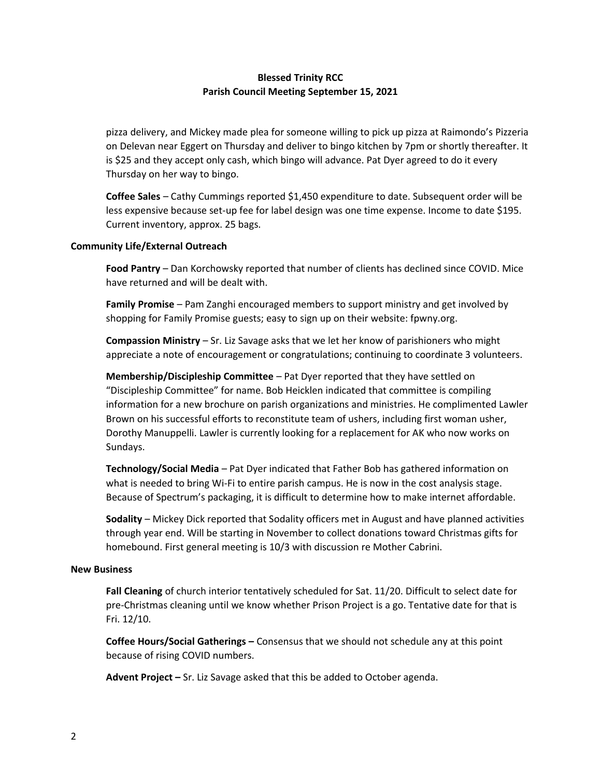## **Blessed Trinity RCC Parish Council Meeting September 15, 2021**

pizza delivery, and Mickey made plea for someone willing to pick up pizza at Raimondo's Pizzeria on Delevan near Eggert on Thursday and deliver to bingo kitchen by 7pm or shortly thereafter. It is \$25 and they accept only cash, which bingo will advance. Pat Dyer agreed to do it every Thursday on her way to bingo.

**Coffee Sales** – Cathy Cummings reported \$1,450 expenditure to date. Subsequent order will be less expensive because set-up fee for label design was one time expense. Income to date \$195. Current inventory, approx. 25 bags.

### **Community Life/External Outreach**

**Food Pantry** – Dan Korchowsky reported that number of clients has declined since COVID. Mice have returned and will be dealt with.

**Family Promise** – Pam Zanghi encouraged members to support ministry and get involved by shopping for Family Promise guests; easy to sign up on their website: fpwny.org.

**Compassion Ministry** – Sr. Liz Savage asks that we let her know of parishioners who might appreciate a note of encouragement or congratulations; continuing to coordinate 3 volunteers.

**Membership/Discipleship Committee** – Pat Dyer reported that they have settled on "Discipleship Committee" for name. Bob Heicklen indicated that committee is compiling information for a new brochure on parish organizations and ministries. He complimented Lawler Brown on his successful efforts to reconstitute team of ushers, including first woman usher, Dorothy Manuppelli. Lawler is currently looking for a replacement for AK who now works on Sundays.

**Technology/Social Media** – Pat Dyer indicated that Father Bob has gathered information on what is needed to bring Wi-Fi to entire parish campus. He is now in the cost analysis stage. Because of Spectrum's packaging, it is difficult to determine how to make internet affordable.

**Sodality** – Mickey Dick reported that Sodality officers met in August and have planned activities through year end. Will be starting in November to collect donations toward Christmas gifts for homebound. First general meeting is 10/3 with discussion re Mother Cabrini.

### **New Business**

**Fall Cleaning** of church interior tentatively scheduled for Sat. 11/20. Difficult to select date for pre-Christmas cleaning until we know whether Prison Project is a go. Tentative date for that is Fri. 12/10.

**Coffee Hours/Social Gatherings –** Consensus that we should not schedule any at this point because of rising COVID numbers.

**Advent Project –** Sr. Liz Savage asked that this be added to October agenda.